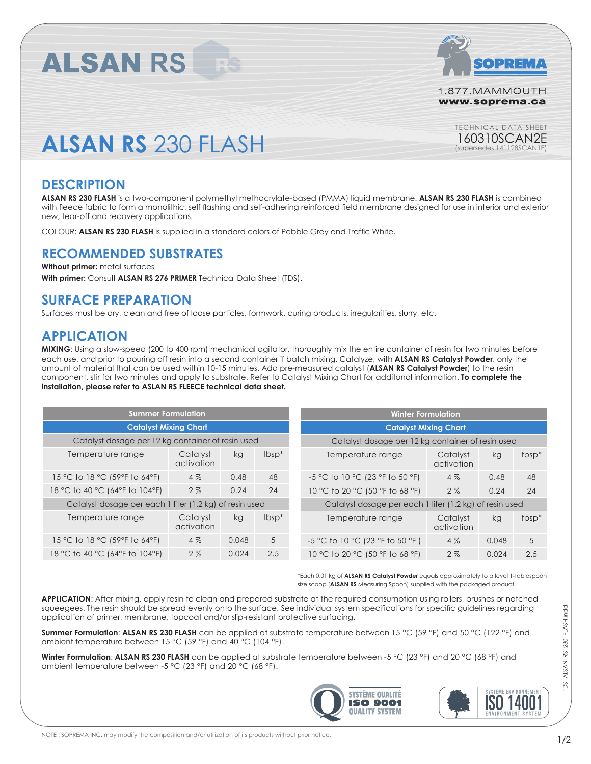

1.877.MAMMOUTH www.soprema.ca

> TECHNICAL DATA SHEET 160310SCAN2E (supersedes 141128SCAN1E)

# **ALSAN RS** 230 FLASH

**ALSAN RS** 

### **DESCRIPTION**

**ALSAN RS 230 FLASH** is a two-component polymethyl methacrylate-based (PMMA) liquid membrane. **ALSAN RS 230 FLASH** is combined with fleece fabric to form a monolithic, self flashing and self-adhering reinforced field membrane designed for use in interior and exterior new, tear-off and recovery applications.

COLOUR: **ALSAN RS 230 FLASH** is supplied in a standard colors of Pebble Grey and Traffic White.

### **RECOMMENDED SUBSTRATES**

**Without primer:** metal surfaces **With primer:** Consult **ALSAN RS 276 PRIMER** Technical Data Sheet (TDS).

## **SURFACE PREPARATION**

Surfaces must be dry, clean and free of loose particles, formwork, curing products, irregularities, slurry, etc.

## **APPLICATION**

**MIXING**: Using a slow-speed (200 to 400 rpm) mechanical agitator, thoroughly mix the entire container of resin for two minutes before each use, and prior to pouring off resin into a second container if batch mixing. Catalyze, with **ALSAN RS Catalyst Powder**, only the amount of material that can be used within 10-15 minutes. Add pre-measured catalyst (**ALSAN RS Catalyst Powder**) to the resin component, stir for two minutes and apply to substrate. Refer to Catalyst Mixing Chart for additonal information. **To complete the installation, please refer to ASLAN RS FLEECE technical data sheet.**

| <b>Summer Formulation</b>                         |                                                         |       |                                                   | <b>Winter Formulation</b>                               |                        |       |                   |
|---------------------------------------------------|---------------------------------------------------------|-------|---------------------------------------------------|---------------------------------------------------------|------------------------|-------|-------------------|
| <b>Catalyst Mixing Chart</b>                      |                                                         |       | <b>Catalyst Mixing Chart</b>                      |                                                         |                        |       |                   |
| Catalyst dosage per 12 kg container of resin used |                                                         |       | Catalyst dosage per 12 kg container of resin used |                                                         |                        |       |                   |
| Temperature range                                 | Catalyst<br>activation                                  | kg    | $t_{\text{DSD}}$                                  | Temperature range                                       | Catalyst<br>activation | kg    | tbsp <sup>*</sup> |
| 15 °C to 18 °C (59°F to 64°F)                     | 4%                                                      | 0.48  | 48                                                | -5 °C to 10 °C (23 °F to 50 °F)                         | 4%                     | 0.48  | 48                |
| 18 °C to 40 °C (64°F to 104°F)                    | 2%                                                      | 0.24  | 24                                                | 10 °C to 20 °C (50 °F to 68 °F)                         | 2%                     | 0.24  | 24                |
|                                                   | Catalyst dosage per each 1 liter (1.2 kg) of resin used |       |                                                   | Catalyst dosage per each 1 liter (1.2 kg) of resin used |                        |       |                   |
| Temperature range                                 | Catalyst<br>activation                                  | kg    | tbsp <sup>*</sup>                                 | Temperature range                                       | Catalyst<br>activation | kg    | tbsp <sup>*</sup> |
| 15 °C to 18 °C (59°F to 64°F)                     | 4%                                                      | 0.048 | 5                                                 | -5 °C to 10 °C (23 °F to 50 °F)                         | 4%                     | 0.048 | 5                 |
| 18 °C to 40 °C (64°F to 104°F)                    | 2%                                                      | 0.024 | 2.5                                               | 10 °C to 20 °C (50 °F to 68 °F)                         | 2%                     | 0.024 | 2.5               |

\*Each 0.01 kg of **ALSAN RS Catalyst Powder** equals approximately to a level 1-tablespoon size scoop (**ALSAN RS** Measuring Spoon) supplied with the packaged product.

**APPLICATION**: After mixing, apply resin to clean and prepared substrate at the required consumption using rollers, brushes or notched squeegees. The resin should be spread evenly onto the surface. See individual system specifications for specific guidelines regarding application of primer, membrane, topcoat and/or slip-resistant protective surfacing.

**Summer Formulation**: **ALSAN RS 230 FLASH** can be applied at substrate temperature between 15 °C (59 °F) and 50 °C (122 °F) and ambient temperature between 15 °C (59 °F) and 40 °C (104 °F).

**Winter Formulation**: **ALSAN RS 230 FLASH** can be applied at substrate temperature between -5 °C (23 °F) and 20 °C (68 °F) and ambient temperature between -5 °C (23 °F) and 20 °C (68 °F).





TDS\_ALSAN\_RS\_230\_FLASH.indd

TDS ALSAN RS 230 FLASH.indd